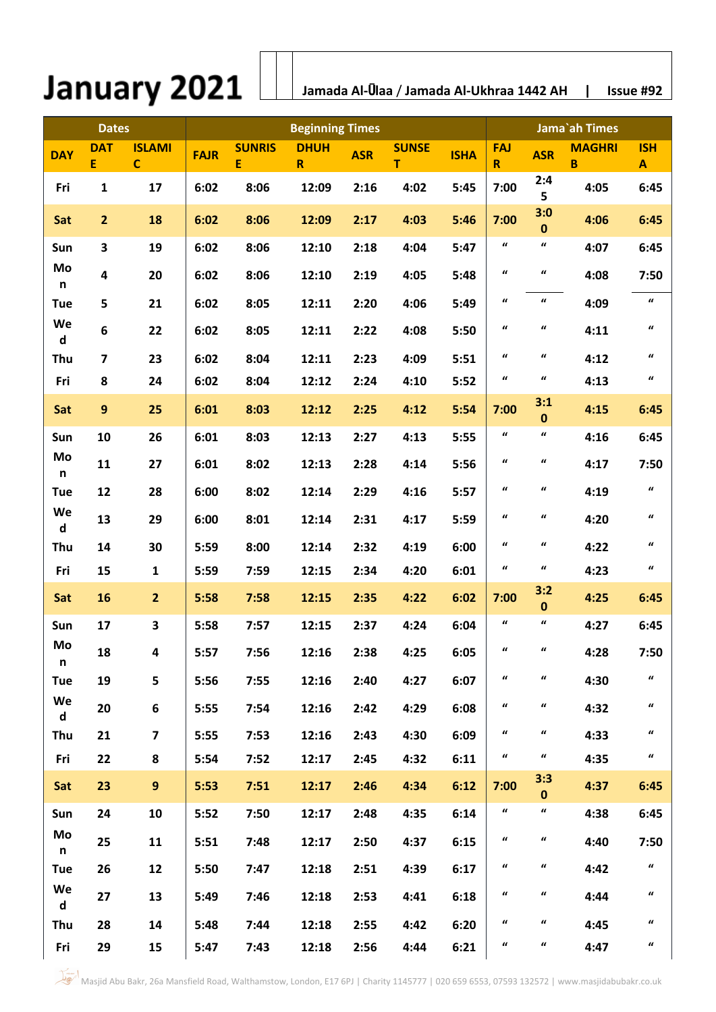## January 2021  $\lfloor$

 **Jamada Al-**Ū**laa** / **Jamada Al-Ukhraa 1442 AH | Issue #92**

| <b>Dates</b>       |                         | <b>Beginning Times</b>       |             |                    |                  |            |                   |             | Jama`ah Times       |                     |                    |                     |
|--------------------|-------------------------|------------------------------|-------------|--------------------|------------------|------------|-------------------|-------------|---------------------|---------------------|--------------------|---------------------|
| <b>DAY</b>         | <b>DAT</b><br>E         | <b>ISLAMI</b><br>$\mathbf C$ | <b>FAJR</b> | <b>SUNRIS</b><br>E | <b>DHUH</b><br>R | <b>ASR</b> | <b>SUNSE</b><br>T | <b>ISHA</b> | <b>FAJ</b><br>R     | <b>ASR</b>          | <b>MAGHRI</b><br>B | <b>ISH</b><br>A     |
| Fri                | $\mathbf{1}$            | 17                           | 6:02        | 8:06               | 12:09            | 2:16       | 4:02              | 5:45        | 7:00                | 2:4<br>5            | 4:05               | 6:45                |
| Sat                | $\overline{2}$          | 18                           | 6:02        | 8:06               | 12:09            | 2:17       | 4:03              | 5:46        | 7:00                | 3:0<br>$\bf{0}$     | 4:06               | 6:45                |
| Sun                | 3                       | 19                           | 6:02        | 8:06               | 12:10            | 2:18       | 4:04              | 5:47        | $\pmb{\mathcal{U}}$ | $\pmb{\mathcal{U}}$ | 4:07               | 6:45                |
| Mo<br>n            | 4                       | 20                           | 6:02        | 8:06               | 12:10            | 2:19       | 4:05              | 5:48        | $\pmb{\mathcal{U}}$ | $\boldsymbol{u}$    | 4:08               | 7:50                |
| <b>Tue</b>         | 5                       | 21                           | 6:02        | 8:05               | 12:11            | 2:20       | 4:06              | 5:49        | $\pmb{\mathcal{U}}$ | $\boldsymbol{u}$    | 4:09               | $\pmb{\mathcal{U}}$ |
| We<br>$\mathsf{d}$ | 6                       | 22                           | 6:02        | 8:05               | 12:11            | 2:22       | 4:08              | 5:50        | $\pmb{\mathcal{U}}$ | $\boldsymbol{u}$    | 4:11               | $\pmb{\mathcal{U}}$ |
| Thu                | $\overline{\mathbf{z}}$ | 23                           | 6:02        | 8:04               | 12:11            | 2:23       | 4:09              | 5:51        | $\pmb{\mathcal{U}}$ | $\boldsymbol{u}$    | 4:12               | $\pmb{\mathcal{U}}$ |
| Fri                | 8                       | 24                           | 6:02        | 8:04               | 12:12            | 2:24       | 4:10              | 5:52        | $\pmb{\mathcal{U}}$ | $\pmb{\mathcal{U}}$ | 4:13               | $\pmb{\mathcal{U}}$ |
| Sat                | $\overline{9}$          | 25                           | 6:01        | 8:03               | 12:12            | 2:25       | 4:12              | 5:54        | 7:00                | 3:1<br>$\bf{0}$     | 4:15               | 6:45                |
| Sun                | 10                      | 26                           | 6:01        | 8:03               | 12:13            | 2:27       | 4:13              | 5:55        | $\pmb{\mathcal{U}}$ | $\pmb{\mathcal{U}}$ | 4:16               | 6:45                |
| Mo<br>n            | 11                      | 27                           | 6:01        | 8:02               | 12:13            | 2:28       | 4:14              | 5:56        | $\pmb{\mathcal{U}}$ | $\pmb{\mathcal{U}}$ | 4:17               | 7:50                |
| <b>Tue</b>         | 12                      | 28                           | 6:00        | 8:02               | 12:14            | 2:29       | 4:16              | 5:57        | $\pmb{\mathcal{U}}$ | $\boldsymbol{u}$    | 4:19               | $\pmb{\mathcal{U}}$ |
| We<br>d            | 13                      | 29                           | 6:00        | 8:01               | 12:14            | 2:31       | 4:17              | 5:59        | $\pmb{\mathcal{U}}$ | $\boldsymbol{u}$    | 4:20               | $\pmb{\mathcal{U}}$ |
| Thu                | 14                      | 30                           | 5:59        | 8:00               | 12:14            | 2:32       | 4:19              | 6:00        | $\pmb{\mathcal{U}}$ | $\boldsymbol{u}$    | 4:22               | $\pmb{\mathcal{U}}$ |
| Fri                | 15                      | $\mathbf{1}$                 | 5:59        | 7:59               | 12:15            | 2:34       | 4:20              | 6:01        | $\pmb{\mathcal{U}}$ | $\boldsymbol{u}$    | 4:23               | $\pmb{\mathcal{U}}$ |
| Sat                | 16                      | $\overline{2}$               | 5:58        | 7:58               | 12:15            | 2:35       | 4:22              | 6:02        | 7:00                | 3:2<br>$\mathbf 0$  | 4:25               | 6:45                |
| Sun                | 17                      | 3                            | 5:58        | 7:57               | 12:15            | 2:37       | 4:24              | 6:04        | $\pmb{\mathcal{U}}$ | $\pmb{\mathcal{U}}$ | 4:27               | 6:45                |
| Mo<br>n            | 18                      | $\overline{\mathbf{4}}$      | 5:57        | 7:56               | 12:16            | 2:38       | 4:25              | 6:05        | $\boldsymbol{u}$    | $\boldsymbol{u}$    | 4:28               | 7:50                |
| <b>Tue</b>         | 19                      | 5                            | 5:56        | 7:55               | 12:16            | 2:40       | 4:27              | 6:07        | $\pmb{\mathcal{U}}$ | $\pmb{\mathcal{U}}$ | 4:30               | $\pmb{\mathcal{U}}$ |
| We<br>$\mathbf d$  | 20                      | 6                            | 5:55        | 7:54               | 12:16            | 2:42       | 4:29              | 6:08        | $\pmb{\mathcal{U}}$ | $\boldsymbol{u}$    | 4:32               | $\pmb{\mathcal{U}}$ |
| Thu                | 21                      | $\overline{\mathbf{z}}$      | 5:55        | 7:53               | 12:16            | 2:43       | 4:30              | 6:09        | $\boldsymbol{u}$    | $\pmb{\mathcal{U}}$ | 4:33               | $\boldsymbol{u}$    |
| Fri                | 22                      | 8                            | 5:54        | 7:52               | 12:17            | 2:45       | 4:32              | 6:11        | $\boldsymbol{u}$    | $\boldsymbol{u}$    | 4:35               | $\boldsymbol{u}$    |
| Sat                | 23                      | $\overline{9}$               | 5:53        | 7:51               | 12:17            | 2:46       | 4:34              | 6:12        | 7:00                | 3:3<br>$\mathbf{0}$ | 4:37               | 6:45                |
| Sun                | 24                      | 10                           | 5:52        | 7:50               | 12:17            | 2:48       | 4:35              | 6:14        | $\pmb{\mathcal{U}}$ | $\boldsymbol{u}$    | 4:38               | 6:45                |
| Mo<br>n            | 25                      | 11                           | 5:51        | 7:48               | 12:17            | 2:50       | 4:37              | 6:15        | $\pmb{\mathcal{U}}$ | $\pmb{\mathcal{U}}$ | 4:40               | 7:50                |
| <b>Tue</b>         | 26                      | 12                           | 5:50        | 7:47               | 12:18            | 2:51       | 4:39              | 6:17        | $\pmb{\mathcal{U}}$ | $\pmb{\mathcal{U}}$ | 4:42               | $\pmb{\mathcal{U}}$ |
| We<br>d            | 27                      | 13                           | 5:49        | 7:46               | 12:18            | 2:53       | 4:41              | 6:18        | $\pmb{\mathcal{U}}$ | $\pmb{\mathcal{U}}$ | 4:44               | $\pmb{\mathcal{U}}$ |
| Thu                | 28                      | 14                           | 5:48        | 7:44               | 12:18            | 2:55       | 4:42              | 6:20        | $\pmb{\mathcal{U}}$ | $\pmb{\mathcal{U}}$ | 4:45               | $\pmb{\mathcal{U}}$ |
| Fri                | 29                      | 15                           | 5:47        | 7:43               | 12:18            | 2:56       | 4:44              | 6:21        | $\boldsymbol{u}$    | $\boldsymbol{u}$    | 4:47               | $\pmb{\mathcal{U}}$ |